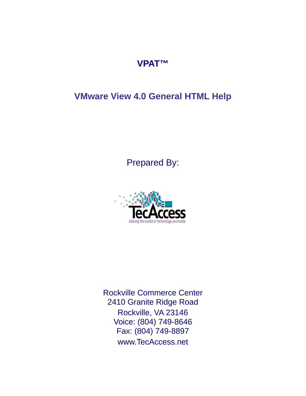## **VPAT™**

# **VMware View 4.0 General HTML Help**

Prepared By:



Rockville Commerce Center 2410 Granite Ridge Road Rockville, VA 23146 Voice: (804) 749-8646 Fax: (804) 749-8897 www.TecAccess.net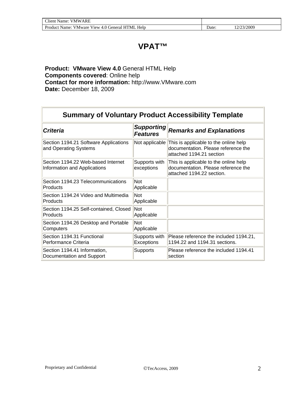## **VPAT™**

**Product: VMware View 4.0** General HTML Help **Components covered**: Online help **Contact for more information:** http://www.VMware.com **Date:** December 18, 2009

| <b>Summary of Voluntary Product Accessibility Template</b>         |                                      |                                                                                                           |  |  |
|--------------------------------------------------------------------|--------------------------------------|-----------------------------------------------------------------------------------------------------------|--|--|
| <b>Criteria</b>                                                    | <b>Supporting</b><br><b>Features</b> | <b>Remarks and Explanations</b>                                                                           |  |  |
| Section 1194.21 Software Applications<br>and Operating Systems     | Not applicable                       | This is applicable to the online help<br>documentation. Please reference the<br>attached 1194.21 section  |  |  |
| Section 1194.22 Web-based Internet<br>Information and Applications | Supports with<br>exceptions          | This is applicable to the online help<br>documentation. Please reference the<br>attached 1194.22 section. |  |  |
| Section 1194.23 Telecommunications<br>Products                     | Not<br>Applicable                    |                                                                                                           |  |  |
| Section 1194.24 Video and Multimedia<br>Products                   | <b>Not</b><br>Applicable             |                                                                                                           |  |  |
| Section 1194.25 Self-contained, Closed<br>Products                 | Not<br>Applicable                    |                                                                                                           |  |  |
| Section 1194.26 Desktop and Portable<br>Computers                  | <b>Not</b><br>Applicable             |                                                                                                           |  |  |
| Section 1194.31 Functional<br>Performance Criteria                 | Supports with<br><b>Exceptions</b>   | Please reference the included 1194.21,<br>1194.22 and 1194.31 sections.                                   |  |  |
| Section 1194.41 Information,<br>Documentation and Support          | <b>Supports</b>                      | Please reference the included 1194.41<br>section                                                          |  |  |

F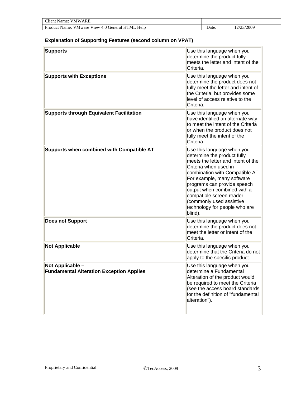| <b>Client Name: VMWARE</b>                      |      |            |  |
|-------------------------------------------------|------|------------|--|
| Product Name: VMware View 4.0 General HTML Help | Jate | 12/23/2009 |  |

#### **Explanation of Supporting Features (second column on VPAT)**

| <b>Supports</b>                                                     | Use this language when you<br>determine the product fully<br>meets the letter and intent of the<br>Criteria.                                                                                                                                                                                                                                                |
|---------------------------------------------------------------------|-------------------------------------------------------------------------------------------------------------------------------------------------------------------------------------------------------------------------------------------------------------------------------------------------------------------------------------------------------------|
| <b>Supports with Exceptions</b>                                     | Use this language when you<br>determine the product does not<br>fully meet the letter and intent of<br>the Criteria, but provides some<br>level of access relative to the<br>Criteria.                                                                                                                                                                      |
| <b>Supports through Equivalent Facilitation</b>                     | Use this language when you<br>have identified an alternate way<br>to meet the intent of the Criteria<br>or when the product does not<br>fully meet the intent of the<br>Criteria.                                                                                                                                                                           |
| Supports when combined with Compatible AT                           | Use this language when you<br>determine the product fully<br>meets the letter and intent of the<br>Criteria when used in<br>combination with Compatible AT.<br>For example, many software<br>programs can provide speech<br>output when combined with a<br>compatible screen reader<br>(commonly used assistive<br>technology for people who are<br>blind). |
| <b>Does not Support</b>                                             | Use this language when you<br>determine the product does not<br>meet the letter or intent of the<br>Criteria.                                                                                                                                                                                                                                               |
| <b>Not Applicable</b>                                               | Use this language when you<br>determine that the Criteria do not<br>apply to the specific product.                                                                                                                                                                                                                                                          |
| Not Applicable -<br><b>Fundamental Alteration Exception Applies</b> | Use this language when you<br>determine a Fundamental<br>Alteration of the product would<br>be required to meet the Criteria<br>(see the access board standards<br>for the definition of "fundamental<br>alteration").                                                                                                                                      |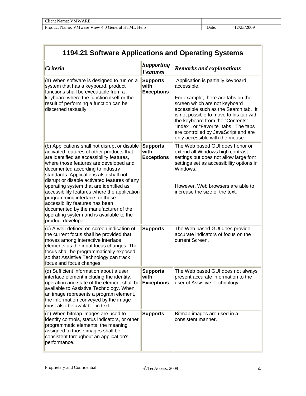| 1194.21 Software Applications and Operating Systems                                                                                                                                                                                                                                                                                                                                                                                                                                                                                                                                         |                                              |                                                                                                                                                                                                                                                                                                                                                                      |  |
|---------------------------------------------------------------------------------------------------------------------------------------------------------------------------------------------------------------------------------------------------------------------------------------------------------------------------------------------------------------------------------------------------------------------------------------------------------------------------------------------------------------------------------------------------------------------------------------------|----------------------------------------------|----------------------------------------------------------------------------------------------------------------------------------------------------------------------------------------------------------------------------------------------------------------------------------------------------------------------------------------------------------------------|--|
| <b>Criteria</b>                                                                                                                                                                                                                                                                                                                                                                                                                                                                                                                                                                             | <b>Supporting</b><br><b>Features</b>         | <b>Remarks and explanations</b>                                                                                                                                                                                                                                                                                                                                      |  |
| (a) When software is designed to run on a<br>system that has a keyboard, product<br>functions shall be executable from a<br>keyboard where the function itself or the<br>result of performing a function can be<br>discerned textually.                                                                                                                                                                                                                                                                                                                                                     | <b>Supports</b><br>with<br><b>Exceptions</b> | Application is partially keyboard<br>accessible.<br>For example, there are tabs on the<br>screen which are not keyboard<br>accessible such as the Search tab. It<br>is not possible to move to his tab with<br>the keyboard from the "Contents",<br>"Index", or "Favorite" tabs. The tabs<br>are controlled by JavaScript and are<br>only accessible with the mouse. |  |
| (b) Applications shall not disrupt or disable<br>activated features of other products that<br>are identified as accessibility features,<br>where those features are developed and<br>documented according to industry<br>standards. Applications also shall not<br>disrupt or disable activated features of any<br>operating system that are identified as<br>accessibility features where the application<br>programming interface for those<br>accessibility features has been<br>documented by the manufacturer of the<br>operating system and is available to the<br>product developer. | <b>Supports</b><br>with<br><b>Exceptions</b> | The Web based GUI does honor or<br>extend all Windows high contrast<br>settings but does not allow large font<br>settings set as accessibility options in<br>Windows.<br>However, Web browsers are able to<br>increase the size of the text.                                                                                                                         |  |
| (c) A well-defined on-screen indication of<br>the current focus shall be provided that<br>moves among interactive interface<br>elements as the input focus changes. The<br>focus shall be programmatically exposed<br>so that Assistive Technology can track<br>focus and focus changes.                                                                                                                                                                                                                                                                                                    | <b>Supports</b>                              | The Web based GUI does provide<br>accurate indicators of focus on the<br>current Screen.                                                                                                                                                                                                                                                                             |  |
| (d) Sufficient information about a user<br>interface element including the identity,<br>operation and state of the element shall be<br>available to Assistive Technology. When<br>an image represents a program element,<br>the information conveyed by the image<br>must also be available in text.                                                                                                                                                                                                                                                                                        | <b>Supports</b><br>with<br><b>Exceptions</b> | The Web based GUI does not always<br>present accurate information to the<br>user of Assistive Technology.                                                                                                                                                                                                                                                            |  |
| (e) When bitmap images are used to<br>identify controls, status indicators, or other<br>programmatic elements, the meaning<br>assigned to those images shall be<br>consistent throughout an application's<br>performance.                                                                                                                                                                                                                                                                                                                                                                   | <b>Supports</b>                              | Bitmap images are used in a<br>consistent manner.                                                                                                                                                                                                                                                                                                                    |  |

 $\overline{\phantom{0}}$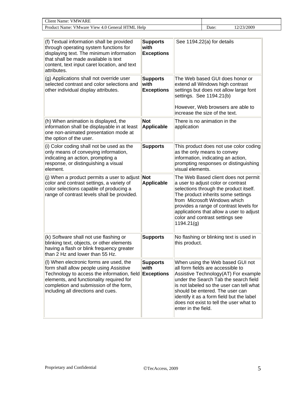| Client<br>ARF<br>Name:<br>VNW<br>the contract of the contract of the contract of the contract of the contract of |      |      |
|------------------------------------------------------------------------------------------------------------------|------|------|
| Product<br>Help<br>"ML<br>Name:<br>V Mware<br>Cieneral<br>$V1$ ew $\cdot$<br>г. с                                | Jate | 200c |

| (f) Textual information shall be provided<br>through operating system functions for<br>displaying text. The minimum information<br>that shall be made available is text<br>content, text input caret location, and text<br>attributes.                        | <b>Supports</b><br>with<br><b>Exceptions</b> | See 1194.22(a) for details                                                                                                                                                                                                                                                                                                                           |
|---------------------------------------------------------------------------------------------------------------------------------------------------------------------------------------------------------------------------------------------------------------|----------------------------------------------|------------------------------------------------------------------------------------------------------------------------------------------------------------------------------------------------------------------------------------------------------------------------------------------------------------------------------------------------------|
| (g) Applications shall not override user<br>selected contrast and color selections and<br>other individual display attributes.                                                                                                                                | <b>Supports</b><br>with<br><b>Exceptions</b> | The Web based GUI does honor or<br>extend all Windows high contrast<br>settings but does not allow large font<br>settings. See 1194.21(b)<br>However, Web browsers are able to<br>increase the size of the text.                                                                                                                                     |
| (h) When animation is displayed, the<br>information shall be displayable in at least<br>one non-animated presentation mode at<br>the option of the user.                                                                                                      | <b>Not</b><br><b>Applicable</b>              | There is no animation in the<br>application                                                                                                                                                                                                                                                                                                          |
| (i) Color coding shall not be used as the<br>only means of conveying information,<br>indicating an action, prompting a<br>response, or distinguishing a visual<br>element.                                                                                    | <b>Supports</b>                              | This product does not use color coding<br>as the only means to convey<br>information, indicating an action,<br>prompting responses or distinguishing<br>visual elements.                                                                                                                                                                             |
| (j) When a product permits a user to adjust<br>color and contrast settings, a variety of<br>color selections capable of producing a<br>range of contrast levels shall be provided.                                                                            | <b>Not</b><br><b>Applicable</b>              | The Web Based client does not permit<br>a user to adjust color or contrast<br>selections through the product itself.<br>The product inherits some settings<br>from Microsoft Windows which<br>provides a range of contrast levels for<br>applications that allow a user to adjust<br>color and contrast settings see<br>1194.21(g)                   |
| (k) Software shall not use flashing or<br>blinking text, objects, or other elements<br>having a flash or blink frequency greater<br>than 2 Hz and lower than 55 Hz.                                                                                           | <b>Supports</b>                              | No flashing or blinking text is used in<br>this product.                                                                                                                                                                                                                                                                                             |
| (I) When electronic forms are used, the<br>form shall allow people using Assistive<br>Technology to access the information, field<br>elements, and functionality required for<br>completion and submission of the form,<br>including all directions and cues. | <b>Supports</b><br>with<br><b>Exceptions</b> | When using the Web based GUI not<br>all form fields are accessible to<br>Assistive Technology(AT) For example<br>under the Search Tab the search field<br>is not labeled so the user can tell what<br>should be entered. The user can<br>identify it as a form field but the label<br>does not exist to tell the user what to<br>enter in the field. |

 $\overline{\mathsf{I}}$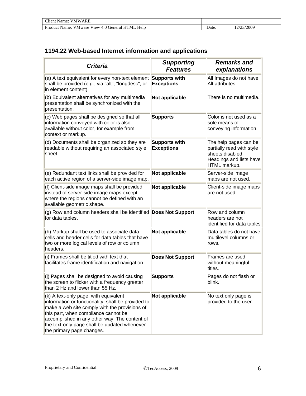| <b>Client Name: VMWARE</b>                         |      |           |
|----------------------------------------------------|------|-----------|
| Product Name: VMware View 4.0 General HTML<br>Help | Date | 2/23/2009 |

## **1194.22 Web-based Internet information and applications**

| <b>Criteria</b>                                                                                                                                                                                                                                                                                                    | <b>Supporting</b><br><b>Features</b>      | <b>Remarks and</b><br>explanations                                                                                |
|--------------------------------------------------------------------------------------------------------------------------------------------------------------------------------------------------------------------------------------------------------------------------------------------------------------------|-------------------------------------------|-------------------------------------------------------------------------------------------------------------------|
| (a) A text equivalent for every non-text element<br>shall be provided (e.g., via "alt", "longdesc", or<br>in element content).                                                                                                                                                                                     | Supports with<br><b>Exceptions</b>        | All Images do not have<br>Alt attributes.                                                                         |
| (b) Equivalent alternatives for any multimedia<br>presentation shall be synchronized with the<br>presentation.                                                                                                                                                                                                     | Not applicable                            | There is no multimedia.                                                                                           |
| (c) Web pages shall be designed so that all<br>information conveyed with color is also<br>available without color, for example from<br>context or markup.                                                                                                                                                          | <b>Supports</b>                           | Color is not used as a<br>sole means of<br>conveying information.                                                 |
| (d) Documents shall be organized so they are<br>readable without requiring an associated style<br>sheet.                                                                                                                                                                                                           | <b>Supports with</b><br><b>Exceptions</b> | The help pages can be<br>partially read with style<br>sheets disabled.<br>Headings and lists have<br>HTML markup. |
| (e) Redundant text links shall be provided for<br>each active region of a server-side image map.                                                                                                                                                                                                                   | Not applicable                            | Server-side image<br>maps are not used.                                                                           |
| (f) Client-side image maps shall be provided<br>instead of server-side image maps except<br>where the regions cannot be defined with an<br>available geometric shape.                                                                                                                                              | Not applicable                            | Client-side image maps<br>are not used.                                                                           |
| (g) Row and column headers shall be identified Does Not Support<br>for data tables.                                                                                                                                                                                                                                |                                           | Row and column<br>headers are not<br>identified for data tables                                                   |
| (h) Markup shall be used to associate data<br>cells and header cells for data tables that have<br>two or more logical levels of row or column<br>headers.                                                                                                                                                          | Not applicable                            | Data tables do not have<br>multilevel columns or<br>rows.                                                         |
| (i) Frames shall be titled with text that<br>facilitates frame identification and navigation                                                                                                                                                                                                                       | <b>Does Not Support</b>                   | Frames are used<br>without meaningful<br>titles.                                                                  |
| (j) Pages shall be designed to avoid causing<br>the screen to flicker with a frequency greater<br>than 2 Hz and lower than 55 Hz.                                                                                                                                                                                  | <b>Supports</b>                           | Pages do not flash or<br>blink.                                                                                   |
| (k) A text-only page, with equivalent<br>information or functionality, shall be provided to<br>make a web site comply with the provisions of<br>this part, when compliance cannot be<br>accomplished in any other way. The content of<br>the text-only page shall be updated whenever<br>the primary page changes. | Not applicable                            | No text only page is<br>provided to the user.                                                                     |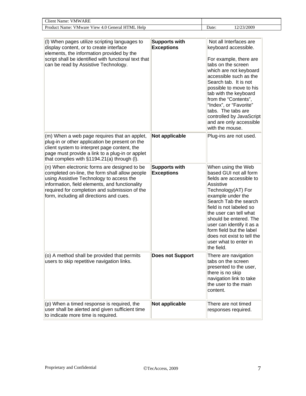| Client<br>VMWARE<br>Name:                                  |       |        |
|------------------------------------------------------------|-------|--------|
| Help<br>Product Name:<br>View 4.0 General HTML.<br>V Mware | Date: | :/2009 |

| (I) When pages utilize scripting languages to<br>display content, or to create interface<br>elements, the information provided by the<br>script shall be identified with functional text that<br>can be read by Assistive Technology.                                                     | <b>Supports with</b><br><b>Exceptions</b> | Not all Interfaces are<br>keyboard accessible.<br>For example, there are<br>tabs on the screen<br>which are not keyboard<br>accessible such as the<br>Search tab. It is not<br>possible to move to his<br>tab with the keyboard<br>from the "Contents",<br>"Index", or "Favorite"<br>tabs. The tabs are<br>controlled by JavaScript<br>and are only accessible<br>with the mouse. |
|-------------------------------------------------------------------------------------------------------------------------------------------------------------------------------------------------------------------------------------------------------------------------------------------|-------------------------------------------|-----------------------------------------------------------------------------------------------------------------------------------------------------------------------------------------------------------------------------------------------------------------------------------------------------------------------------------------------------------------------------------|
| (m) When a web page requires that an applet,<br>plug-in or other application be present on the<br>client system to interpret page content, the<br>page must provide a link to a plug-in or applet<br>that complies with §1194.21(a) through (I).                                          | Not applicable                            | Plug-ins are not used.                                                                                                                                                                                                                                                                                                                                                            |
| (n) When electronic forms are designed to be<br>completed on-line, the form shall allow people<br>using Assistive Technology to access the<br>information, field elements, and functionality<br>required for completion and submission of the<br>form, including all directions and cues. | <b>Supports with</b><br><b>Exceptions</b> | When using the Web<br>based GUI not all form<br>fields are accessible to<br>Assistive<br>Technology(AT) For<br>example under the<br>Search Tab the search<br>field is not labeled so<br>the user can tell what<br>should be entered. The<br>user can identify it as a<br>form field but the label<br>does not exist to tell the<br>user what to enter in<br>the field.            |
| (o) A method shall be provided that permits<br>users to skip repetitive navigation links.                                                                                                                                                                                                 | <b>Does not Support</b>                   | There are navigation<br>tabs on the screen<br>presented to the user,<br>there is no skip<br>navigation link to take<br>the user to the main<br>content.                                                                                                                                                                                                                           |
| (p) When a timed response is required, the<br>user shall be alerted and given sufficient time<br>to indicate more time is required.                                                                                                                                                       | Not applicable                            | There are not timed<br>responses required.                                                                                                                                                                                                                                                                                                                                        |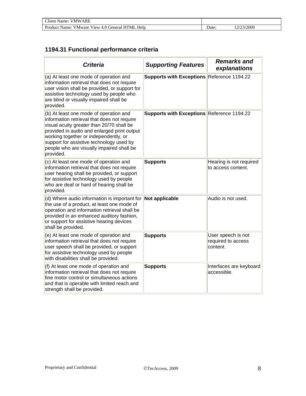| Client Name:<br><b>VMWARE</b>                          |       |           |
|--------------------------------------------------------|-------|-----------|
| Product Name: VMware View 4.0 General HTML I<br>. Help | ⊃ate∙ | 2/23/2009 |

## **1194.31 Functional performance criteria**

| <b>Criteria</b>                                                                                                                                                                                                                                                                                                                  | <b>Supporting Features</b>                 | <b>Remarks and</b><br>explanations                   |
|----------------------------------------------------------------------------------------------------------------------------------------------------------------------------------------------------------------------------------------------------------------------------------------------------------------------------------|--------------------------------------------|------------------------------------------------------|
| (a) At least one mode of operation and<br>information retrieval that does not require<br>user vision shall be provided, or support for<br>assistive technology used by people who<br>are blind or visually impaired shall be<br>provided.                                                                                        | Supports with Exceptions Reference 1194.22 |                                                      |
| (b) At least one mode of operation and<br>information retrieval that does not require<br>visual acuity greater than 20/70 shall be<br>provided in audio and enlarged print output<br>working together or independently, or<br>support for assistive technology used by<br>people who are visually impaired shall be<br>provided. | Supports with Exceptions Reference 1194.22 |                                                      |
| (c) At least one mode of operation and<br>information retrieval that does not require<br>user hearing shall be provided, or support<br>for assistive technology used by people<br>who are deaf or hard of hearing shall be<br>provided.                                                                                          | <b>Supports</b>                            | Hearing is not required<br>to access content.        |
| (d) Where audio information is important for $\left\  \text{Not applicable} \right\ $<br>the use of a product, at least one mode of<br>operation and information retrieval shall be<br>provided in an enhanced auditory fashion,<br>or support for assistive hearing devices<br>shall be provided.                               |                                            | Audio is not used.                                   |
| (e) At least one mode of operation and<br>information retrieval that does not require<br>user speech shall be provided, or support<br>for assistive technology used by people<br>with disabilities shall be provided.                                                                                                            | <b>Supports</b>                            | User speech is not<br>required to access<br>content. |
| (f) At least one mode of operation and<br>information retrieval that does not require<br>fine motor control or simultaneous actions<br>and that is operable with limited reach and<br>strength shall be provided.                                                                                                                | <b>Supports</b>                            | Interfaces are keyboard<br>accessible.               |